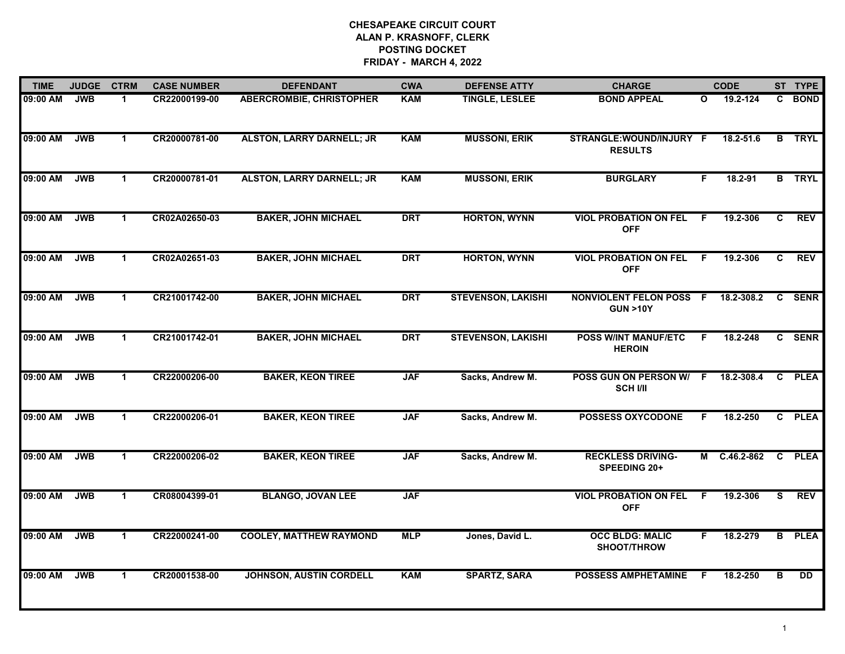| <b>TIME</b> | <b>JUDGE</b> | <b>CTRM</b>          | <b>CASE NUMBER</b> | <b>DEFENDANT</b>                 | <b>CWA</b> | <b>DEFENSE ATTY</b>       | <b>CHARGE</b>                                        |              | <b>CODE</b>  |                | ST TYPE       |
|-------------|--------------|----------------------|--------------------|----------------------------------|------------|---------------------------|------------------------------------------------------|--------------|--------------|----------------|---------------|
| 09:00 AM    | <b>JWB</b>   | 1                    | CR22000199-00      | <b>ABERCROMBIE, CHRISTOPHER</b>  | <b>KAM</b> | <b>TINGLE, LESLEE</b>     | <b>BOND APPEAL</b>                                   | $\mathbf{o}$ | 19.2-124     | C.             | <b>BOND</b>   |
| 09:00 AM    | <b>JWB</b>   | $\blacktriangleleft$ | CR20000781-00      | <b>ALSTON, LARRY DARNELL; JR</b> | <b>KAM</b> | <b>MUSSONI, ERIK</b>      | STRANGLE: WOUND/INJURY F<br><b>RESULTS</b>           |              | 18.2-51.6    | $\overline{B}$ | <b>TRYL</b>   |
| 09:00 AM    | <b>JWB</b>   | $\mathbf 1$          | CR20000781-01      | <b>ALSTON, LARRY DARNELL; JR</b> | <b>KAM</b> | <b>MUSSONI, ERIK</b>      | <b>BURGLARY</b>                                      | F            | $18.2 - 91$  |                | <b>B</b> TRYL |
| 09:00 AM    | <b>JWB</b>   | 1.                   | CR02A02650-03      | <b>BAKER, JOHN MICHAEL</b>       | <b>DRT</b> | <b>HORTON, WYNN</b>       | <b>VIOL PROBATION ON FEL</b><br><b>OFF</b>           | F.           | 19.2-306     | C              | <b>REV</b>    |
| 09:00 AM    | <b>JWB</b>   | $\mathbf 1$          | CR02A02651-03      | <b>BAKER, JOHN MICHAEL</b>       | <b>DRT</b> | <b>HORTON, WYNN</b>       | <b>VIOL PROBATION ON FEL</b><br><b>OFF</b>           | F            | 19.2-306     | C              | <b>REV</b>    |
| 09:00 AM    | <b>JWB</b>   | $\mathbf{1}$         | CR21001742-00      | <b>BAKER, JOHN MICHAEL</b>       | <b>DRT</b> | <b>STEVENSON, LAKISHI</b> | <b>NONVIOLENT FELON POSS F</b><br><b>GUN &gt;10Y</b> |              | 18.2-308.2   | C              | <b>SENR</b>   |
| 09:00 AM    | <b>JWB</b>   | $\mathbf{1}$         | CR21001742-01      | <b>BAKER, JOHN MICHAEL</b>       | <b>DRT</b> | <b>STEVENSON, LAKISHI</b> | <b>POSS W/INT MANUF/ETC</b><br><b>HEROIN</b>         | F            | 18.2-248     | $\mathbf{c}$   | <b>SENR</b>   |
| 09:00 AM    | <b>JWB</b>   | $\blacktriangleleft$ | CR22000206-00      | <b>BAKER, KEON TIREE</b>         | <b>JAF</b> | Sacks, Andrew M.          | POSS GUN ON PERSON W/<br><b>SCH I/II</b>             | -F           | 18.2-308.4   | $\mathbf{c}$   | <b>PLEA</b>   |
| 09:00 AM    | <b>JWB</b>   | $\mathbf 1$          | CR22000206-01      | <b>BAKER, KEON TIREE</b>         | <b>JAF</b> | Sacks, Andrew M.          | <b>POSSESS OXYCODONE</b>                             | F.           | 18.2-250     |                | C PLEA        |
| 09:00 AM    | <b>JWB</b>   | $\mathbf{1}$         | CR22000206-02      | <b>BAKER, KEON TIREE</b>         | <b>JAF</b> | Sacks, Andrew M.          | <b>RECKLESS DRIVING-</b><br>SPEEDING 20+             |              | M C.46.2-862 |                | C PLEA        |
| 09:00 AM    | <b>JWB</b>   | $\mathbf{1}$         | CR08004399-01      | <b>BLANGO, JOVAN LEE</b>         | <b>JAF</b> |                           | <b>VIOL PROBATION ON FEL</b><br><b>OFF</b>           | F.           | 19.2-306     | S.             | <b>REV</b>    |
| 09:00 AM    | <b>JWB</b>   | $\mathbf{1}$         | CR22000241-00      | <b>COOLEY, MATTHEW RAYMOND</b>   | <b>MLP</b> | Jones, David L.           | <b>OCC BLDG: MALIC</b><br>SHOOT/THROW                | F.           | 18.2-279     | B              | <b>PLEA</b>   |
| 09:00 AM    | <b>JWB</b>   | $\mathbf{1}$         | CR20001538-00      | <b>JOHNSON, AUSTIN CORDELL</b>   | <b>KAM</b> | <b>SPARTZ, SARA</b>       | <b>POSSESS AMPHETAMINE</b>                           | F            | 18.2-250     | в              | <b>DD</b>     |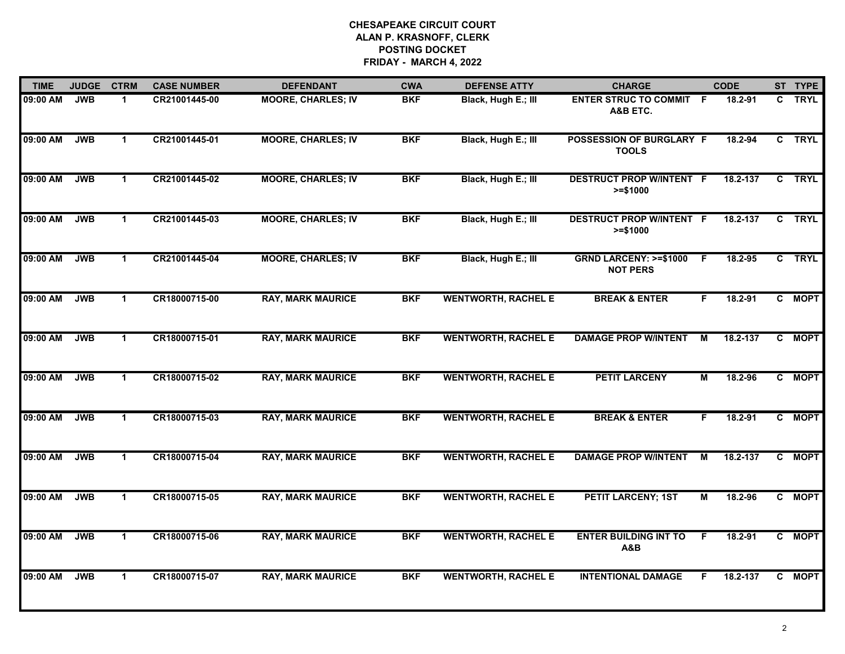| <b>TIME</b> | <b>JUDGE</b> | <b>CTRM</b>          | <b>CASE NUMBER</b> | <b>DEFENDANT</b>          | <b>CWA</b> | <b>DEFENSE ATTY</b>        | <b>CHARGE</b>                                       |    | <b>CODE</b> |              | ST TYPE     |
|-------------|--------------|----------------------|--------------------|---------------------------|------------|----------------------------|-----------------------------------------------------|----|-------------|--------------|-------------|
| 09:00 AM    | <b>JWB</b>   | $\mathbf 1$          | CR21001445-00      | <b>MOORE, CHARLES; IV</b> | <b>BKF</b> | Black, Hugh E.; III        | <b>ENTER STRUC TO COMMIT F</b><br>A&B ETC.          |    | 18.2-91     | C            | <b>TRYL</b> |
| 09:00 AM    | <b>JWB</b>   | $\mathbf 1$          | CR21001445-01      | <b>MOORE, CHARLES; IV</b> | <b>BKF</b> | Black, Hugh E.; III        | <b>POSSESSION OF BURGLARY F</b><br><b>TOOLS</b>     |    | 18.2-94     |              | C TRYL      |
| 09:00 AM    | <b>JWB</b>   | $\mathbf{1}$         | CR21001445-02      | <b>MOORE, CHARLES; IV</b> | <b>BKF</b> | Black, Hugh E.; III        | <b>DESTRUCT PROP W/INTENT F</b><br>$>= $1000$       |    | 18.2-137    |              | C TRYL      |
| 09:00 AM    | <b>JWB</b>   | $\mathbf 1$          | CR21001445-03      | <b>MOORE, CHARLES; IV</b> | <b>BKF</b> | Black, Hugh E.; III        | <b>DESTRUCT PROP W/INTENT F</b><br>$>= $1000$       |    | 18.2-137    | $\mathbf{c}$ | <b>TRYL</b> |
| 09:00 AM    | <b>JWB</b>   | $\mathbf 1$          | CR21001445-04      | <b>MOORE, CHARLES; IV</b> | <b>BKF</b> | Black, Hugh E.; III        | <b>GRND LARCENY: &gt;=\$1000</b><br><b>NOT PERS</b> | F. | 18.2-95     |              | C TRYL      |
| 09:00 AM    | <b>JWB</b>   | $\mathbf{1}$         | CR18000715-00      | <b>RAY, MARK MAURICE</b>  | <b>BKF</b> | <b>WENTWORTH, RACHEL E</b> | <b>BREAK &amp; ENTER</b>                            | F. | 18.2-91     |              | C MOPT      |
| 09:00 AM    | <b>JWB</b>   | $\blacktriangleleft$ | CR18000715-01      | <b>RAY, MARK MAURICE</b>  | <b>BKF</b> | <b>WENTWORTH, RACHEL E</b> | <b>DAMAGE PROP W/INTENT</b>                         | М  | 18.2-137    | C            | <b>MOPT</b> |
| 09:00 AM    | <b>JWB</b>   | $\mathbf 1$          | CR18000715-02      | <b>RAY, MARK MAURICE</b>  | <b>BKF</b> | <b>WENTWORTH, RACHEL E</b> | <b>PETIT LARCENY</b>                                | M  | 18.2-96     |              | C MOPT      |
| 09:00 AM    | <b>JWB</b>   | $\mathbf{1}$         | CR18000715-03      | <b>RAY, MARK MAURICE</b>  | <b>BKF</b> | <b>WENTWORTH, RACHEL E</b> | <b>BREAK &amp; ENTER</b>                            | F. | $18.2 - 91$ |              | C MOPT      |
| 09:00 AM    | <b>JWB</b>   | $\mathbf{1}$         | CR18000715-04      | <b>RAY, MARK MAURICE</b>  | <b>BKF</b> | <b>WENTWORTH, RACHEL E</b> | <b>DAMAGE PROP W/INTENT</b>                         | М  | 18.2-137    |              | C MOPT      |
| 09:00 AM    | <b>JWB</b>   | $\mathbf 1$          | CR18000715-05      | <b>RAY, MARK MAURICE</b>  | <b>BKF</b> | <b>WENTWORTH, RACHEL E</b> | <b>PETIT LARCENY; 1ST</b>                           | м  | 18.2-96     |              | C MOPT      |
| 09:00 AM    | <b>JWB</b>   | $\mathbf{1}$         | CR18000715-06      | <b>RAY, MARK MAURICE</b>  | <b>BKF</b> | <b>WENTWORTH, RACHEL E</b> | <b>ENTER BUILDING INT TO</b><br>A&B                 | F. | 18.2-91     | C.           | <b>MOPT</b> |
| 09:00 AM    | <b>JWB</b>   | $\mathbf{1}$         | CR18000715-07      | <b>RAY, MARK MAURICE</b>  | <b>BKF</b> | <b>WENTWORTH, RACHEL E</b> | <b>INTENTIONAL DAMAGE</b>                           | F  | 18.2-137    |              | C MOPT      |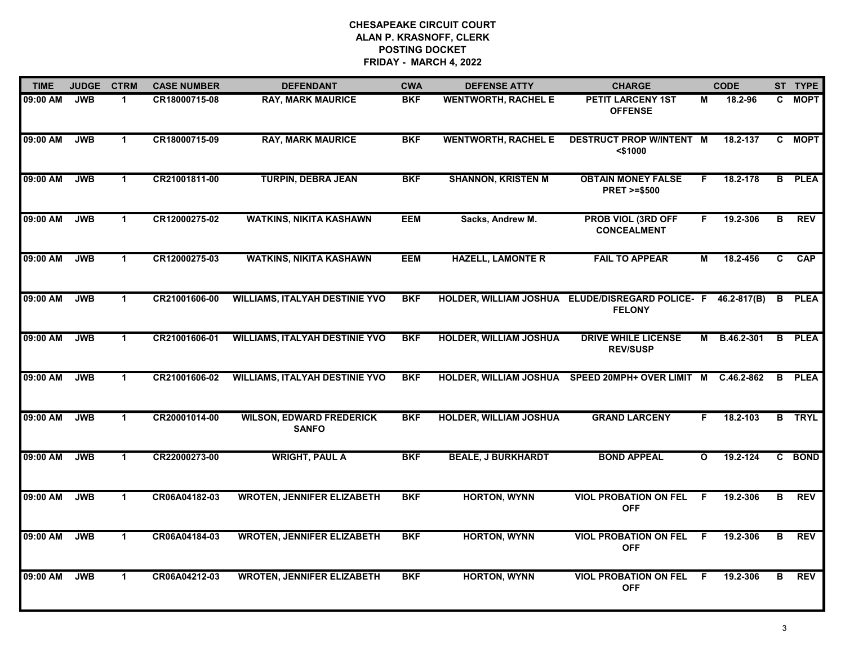| <b>TIME</b> | <b>JUDGE</b> | <b>CTRM</b>          | <b>CASE NUMBER</b> | <b>DEFENDANT</b>                                | <b>CWA</b> | <b>DEFENSE ATTY</b>           | <b>CHARGE</b>                                                     |              | <b>CODE</b> |    | ST TYPE       |
|-------------|--------------|----------------------|--------------------|-------------------------------------------------|------------|-------------------------------|-------------------------------------------------------------------|--------------|-------------|----|---------------|
| 09:00 AM    | <b>JWB</b>   | $\blacktriangleleft$ | CR18000715-08      | <b>RAY, MARK MAURICE</b>                        | <b>BKF</b> | <b>WENTWORTH, RACHEL E</b>    | PETIT LARCENY 1ST<br><b>OFFENSE</b>                               | М            | 18.2-96     | C. | <b>MOPT</b>   |
| 09:00 AM    | JWB          | $\mathbf{1}$         | CR18000715-09      | <b>RAY, MARK MAURICE</b>                        | <b>BKF</b> | <b>WENTWORTH, RACHEL E</b>    | <b>DESTRUCT PROP W/INTENT M</b><br>$<$ \$1000                     |              | 18.2-137    | C. | <b>MOPT</b>   |
| 09:00 AM    | <b>JWB</b>   | $\mathbf 1$          | CR21001811-00      | <b>TURPIN, DEBRA JEAN</b>                       | <b>BKF</b> | <b>SHANNON, KRISTEN M</b>     | <b>OBTAIN MONEY FALSE</b><br><b>PRET &gt;=\$500</b>               | F.           | 18.2-178    | B  | <b>PLEA</b>   |
| 09:00 AM    | <b>JWB</b>   | $\mathbf 1$          | CR12000275-02      | <b>WATKINS, NIKITA KASHAWN</b>                  | <b>EEM</b> | Sacks, Andrew M.              | <b>PROB VIOL (3RD OFF</b><br><b>CONCEALMENT</b>                   | F.           | 19.2-306    | в  | <b>REV</b>    |
| 09:00 AM    | <b>JWB</b>   | $\mathbf 1$          | CR12000275-03      | <b>WATKINS, NIKITA KASHAWN</b>                  | <b>EEM</b> | <b>HAZELL, LAMONTE R</b>      | <b>FAIL TO APPEAR</b>                                             | M            | 18.2-456    | C. | CAP           |
| 09:00 AM    | <b>JWB</b>   | $\mathbf{1}$         | CR21001606-00      | <b>WILLIAMS, ITALYAH DESTINIE YVO</b>           | <b>BKF</b> |                               | HOLDER, WILLIAM JOSHUA ELUDE/DISREGARD POLICE- F<br><b>FELONY</b> |              | 46.2-817(B) | B  | <b>PLEA</b>   |
| 09:00 AM    | <b>JWB</b>   | $\mathbf{1}$         | CR21001606-01      | <b>WILLIAMS, ITALYAH DESTINIE YVO</b>           | <b>BKF</b> | <b>HOLDER, WILLIAM JOSHUA</b> | <b>DRIVE WHILE LICENSE</b><br><b>REV/SUSP</b>                     | М            | B.46.2-301  | B  | <b>PLEA</b>   |
| 09:00 AM    | <b>JWB</b>   | $\mathbf{1}$         | CR21001606-02      | <b>WILLIAMS, ITALYAH DESTINIE YVO</b>           | <b>BKF</b> | <b>HOLDER, WILLIAM JOSHUA</b> | <b>SPEED 20MPH+ OVER LIMIT</b>                                    | M            | C.46.2-862  | B  | <b>PLEA</b>   |
| 09:00 AM    | <b>JWB</b>   | $\mathbf 1$          | CR20001014-00      | <b>WILSON, EDWARD FREDERICK</b><br><b>SANFO</b> | <b>BKF</b> | HOLDER, WILLIAM JOSHUA        | <b>GRAND LARCENY</b>                                              | F.           | 18.2-103    |    | <b>B</b> TRYL |
| 09:00 AM    | <b>JWB</b>   | $\blacktriangleleft$ | CR22000273-00      | <b>WRIGHT, PAUL A</b>                           | <b>BKF</b> | <b>BEALE, J BURKHARDT</b>     | <b>BOND APPEAL</b>                                                | $\mathbf{o}$ | 19.2-124    |    | C BOND        |
| 09:00 AM    | <b>JWB</b>   | $\mathbf 1$          | CR06A04182-03      | <b>WROTEN, JENNIFER ELIZABETH</b>               | <b>BKF</b> | <b>HORTON, WYNN</b>           | <b>VIOL PROBATION ON FEL</b><br><b>OFF</b>                        | -F           | 19.2-306    | в  | <b>REV</b>    |
| 09:00 AM    | <b>JWB</b>   | $\mathbf{1}$         | CR06A04184-03      | <b>WROTEN, JENNIFER ELIZABETH</b>               | <b>BKF</b> | <b>HORTON, WYNN</b>           | <b>VIOL PROBATION ON FEL</b><br><b>OFF</b>                        | -F           | 19.2-306    | в  | <b>REV</b>    |
| 09:00 AM    | <b>JWB</b>   | $\mathbf 1$          | CR06A04212-03      | <b>WROTEN, JENNIFER ELIZABETH</b>               | <b>BKF</b> | <b>HORTON, WYNN</b>           | <b>VIOL PROBATION ON FEL</b><br><b>OFF</b>                        | -F           | 19.2-306    | в  | <b>REV</b>    |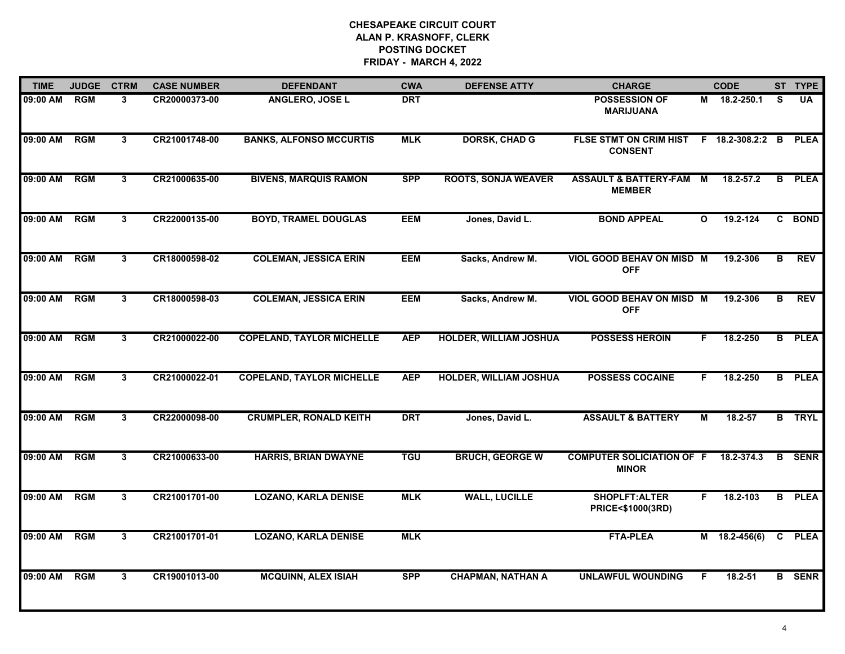| <b>TIME</b> | <b>JUDGE</b> | <b>CTRM</b>    | <b>CASE NUMBER</b> | <b>DEFENDANT</b>                 | <b>CWA</b> | <b>DEFENSE ATTY</b>           | <b>CHARGE</b>                                     |              | <b>CODE</b>        |    | ST TYPE       |
|-------------|--------------|----------------|--------------------|----------------------------------|------------|-------------------------------|---------------------------------------------------|--------------|--------------------|----|---------------|
| 09:00 AM    | <b>RGM</b>   | 3              | CR20000373-00      | <b>ANGLERO, JOSE L</b>           | <b>DRT</b> |                               | <b>POSSESSION OF</b><br><b>MARIJUANA</b>          |              | $M = 18.2 - 250.1$ | S. | <b>UA</b>     |
| 09:00 AM    | RGM          | 3              | CR21001748-00      | <b>BANKS, ALFONSO MCCURTIS</b>   | <b>MLK</b> | <b>DORSK, CHAD G</b>          | FLSE STMT ON CRIM HIST<br><b>CONSENT</b>          |              | $F$ 18.2-308.2:2 B |    | <b>PLEA</b>   |
| 09:00 AM    | <b>RGM</b>   | 3              | CR21000635-00      | <b>BIVENS, MARQUIS RAMON</b>     | <b>SPP</b> | <b>ROOTS, SONJA WEAVER</b>    | <b>ASSAULT &amp; BATTERY-FAM</b><br><b>MEMBER</b> | M            | 18.2-57.2          | B  | <b>PLEA</b>   |
| 09:00 AM    | <b>RGM</b>   | 3              | CR22000135-00      | <b>BOYD, TRAMEL DOUGLAS</b>      | <b>EEM</b> | Jones, David L.               | <b>BOND APPEAL</b>                                | $\mathbf{o}$ | 19.2-124           | C. | <b>BOND</b>   |
| 09:00 AM    | <b>RGM</b>   | $\overline{3}$ | CR18000598-02      | <b>COLEMAN, JESSICA ERIN</b>     | <b>EEM</b> | Sacks, Andrew M.              | <b>VIOL GOOD BEHAV ON MISD M</b><br><b>OFF</b>    |              | 19.2-306           | B  | <b>REV</b>    |
| 09:00 AM    | <b>RGM</b>   | 3              | CR18000598-03      | <b>COLEMAN, JESSICA ERIN</b>     | <b>EEM</b> | Sacks, Andrew M.              | VIOL GOOD BEHAV ON MISD M<br><b>OFF</b>           |              | 19.2-306           | B  | <b>REV</b>    |
| 09:00 AM    | <b>RGM</b>   | $\overline{3}$ | CR21000022-00      | <b>COPELAND, TAYLOR MICHELLE</b> | <b>AEP</b> | <b>HOLDER, WILLIAM JOSHUA</b> | <b>POSSESS HEROIN</b>                             | F.           | 18.2-250           |    | <b>B</b> PLEA |
| 09:00 AM    | <b>RGM</b>   | $\mathbf{3}$   | CR21000022-01      | <b>COPELAND, TAYLOR MICHELLE</b> | <b>AEP</b> | HOLDER, WILLIAM JOSHUA        | <b>POSSESS COCAINE</b>                            | F.           | 18.2-250           |    | <b>B</b> PLEA |
| 09:00 AM    | <b>RGM</b>   | 3              | CR22000098-00      | <b>CRUMPLER, RONALD KEITH</b>    | <b>DRT</b> | Jones, David L.               | <b>ASSAULT &amp; BATTERY</b>                      | М            | 18.2-57            |    | <b>B</b> TRYL |
| 09:00 AM    | <b>RGM</b>   | 3              | CR21000633-00      | <b>HARRIS, BRIAN DWAYNE</b>      | <b>TGU</b> | <b>BRUCH, GEORGE W</b>        | <b>COMPUTER SOLICIATION OF F</b><br><b>MINOR</b>  |              | 18.2-374.3         |    | <b>B</b> SENR |
| 09:00 AM    | <b>RGM</b>   | 3              | CR21001701-00      | <b>LOZANO, KARLA DENISE</b>      | <b>MLK</b> | <b>WALL, LUCILLE</b>          | <b>SHOPLFT:ALTER</b><br>PRICE<\$1000(3RD)         | F.           | 18.2-103           |    | <b>B</b> PLEA |
| 09:00 AM    | <b>RGM</b>   | $3^{\circ}$    | CR21001701-01      | <b>LOZANO, KARLA DENISE</b>      | <b>MLK</b> |                               | <b>FTA-PLEA</b>                                   |              | $M$ 18.2-456(6)    |    | C PLEA        |
| 09:00 AM    | <b>RGM</b>   | 3              | CR19001013-00      | <b>MCQUINN, ALEX ISIAH</b>       | <b>SPP</b> | <b>CHAPMAN, NATHAN A</b>      | <b>UNLAWFUL WOUNDING</b>                          | F.           | 18.2-51            |    | <b>B</b> SENR |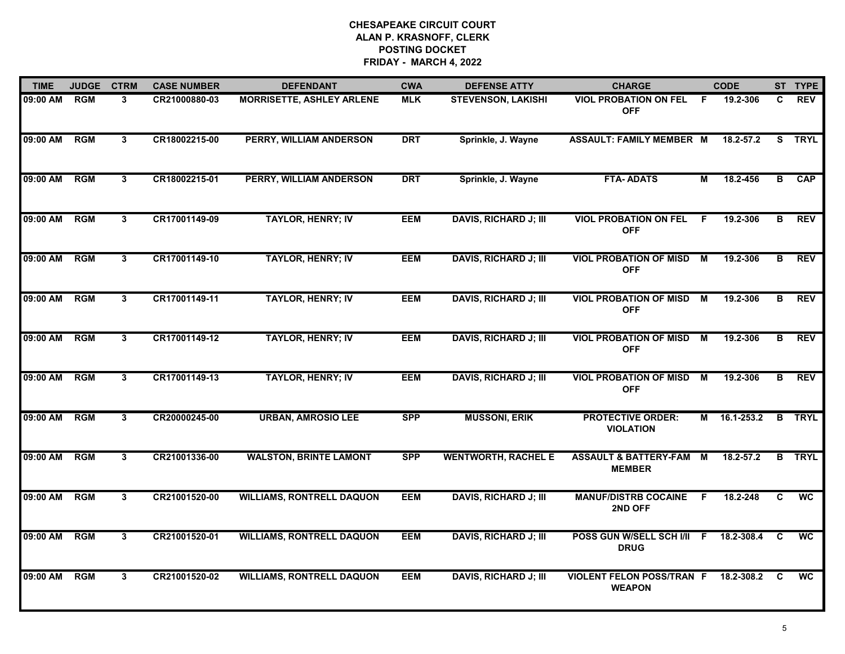| <b>TIME</b>  | <b>JUDGE</b> | <b>CTRM</b>    | <b>CASE NUMBER</b> | <b>DEFENDANT</b>                 | <b>CWA</b> | <b>DEFENSE ATTY</b>          | <b>CHARGE</b>                                     |     | <b>CODE</b> |          | ST TYPE     |
|--------------|--------------|----------------|--------------------|----------------------------------|------------|------------------------------|---------------------------------------------------|-----|-------------|----------|-------------|
| 09:00 AM     | <b>RGM</b>   | 3              | CR21000880-03      | <b>MORRISETTE, ASHLEY ARLENE</b> | <b>MLK</b> | <b>STEVENSON, LAKISHI</b>    | <b>VIOL PROBATION ON FEL</b><br><b>OFF</b>        | - F | 19.2-306    | C.       | <b>REV</b>  |
| 09:00 AM     | RGM          | 3              | CR18002215-00      | PERRY, WILLIAM ANDERSON          | <b>DRT</b> | Sprinkle, J. Wayne           | <b>ASSAULT: FAMILY MEMBER M</b>                   |     | 18.2-57.2   | S.       | <b>TRYL</b> |
| 09:00 AM     | <b>RGM</b>   | 3 <sup>1</sup> | CR18002215-01      | PERRY, WILLIAM ANDERSON          | <b>DRT</b> | Sprinkle, J. Wayne           | <b>FTA-ADATS</b>                                  | М   | 18.2-456    | B        | <b>CAP</b>  |
| 09:00 AM     | <b>RGM</b>   | 3              | CR17001149-09      | <b>TAYLOR, HENRY; IV</b>         | <b>EEM</b> | <b>DAVIS, RICHARD J; III</b> | <b>VIOL PROBATION ON FEL</b><br><b>OFF</b>        | F.  | 19.2-306    | в        | <b>REV</b>  |
| 09:00 AM     | RGM          | 3              | CR17001149-10      | <b>TAYLOR, HENRY; IV</b>         | <b>EEM</b> | <b>DAVIS, RICHARD J; III</b> | <b>VIOL PROBATION OF MISD</b><br><b>OFF</b>       | M   | 19.2-306    | В        | <b>REV</b>  |
| 09:00 AM RGM |              | 3              | CR17001149-11      | <b>TAYLOR, HENRY; IV</b>         | <b>EEM</b> | <b>DAVIS, RICHARD J; III</b> | <b>VIOL PROBATION OF MISD M</b><br><b>OFF</b>     |     | 19.2-306    | В        | <b>REV</b>  |
| 09:00 AM RGM |              | 3              | CR17001149-12      | <b>TAYLOR, HENRY; IV</b>         | <b>EEM</b> | <b>DAVIS, RICHARD J; III</b> | <b>VIOL PROBATION OF MISD M</b><br><b>OFF</b>     |     | 19.2-306    | В        | <b>REV</b>  |
| 09:00 AM     | <b>RGM</b>   | $\mathbf{3}$   | CR17001149-13      | <b>TAYLOR, HENRY; IV</b>         | <b>EEM</b> | <b>DAVIS, RICHARD J; III</b> | <b>VIOL PROBATION OF MISD</b><br><b>OFF</b>       | M   | 19.2-306    | в        | <b>REV</b>  |
| 09:00 AM     | <b>RGM</b>   | 3              | CR20000245-00      | <b>URBAN, AMROSIO LEE</b>        | <b>SPP</b> | <b>MUSSONI, ERIK</b>         | <b>PROTECTIVE ORDER:</b><br><b>VIOLATION</b>      | М   | 16.1-253.2  | B        | <b>TRYL</b> |
| 09:00 AM     | RGM          | 3              | CR21001336-00      | <b>WALSTON, BRINTE LAMONT</b>    | <b>SPP</b> | <b>WENTWORTH, RACHEL E</b>   | <b>ASSAULT &amp; BATTERY-FAM</b><br><b>MEMBER</b> | M   | 18.2-57.2   | B        | <b>TRYL</b> |
| 09:00 AM     | <b>RGM</b>   | 3              | CR21001520-00      | <b>WILLIAMS, RONTRELL DAQUON</b> | <b>EEM</b> | <b>DAVIS, RICHARD J; III</b> | <b>MANUF/DISTRB COCAINE</b><br>2ND OFF            | -F  | 18.2-248    | C        | <b>WC</b>   |
| 09:00 AM     | <b>RGM</b>   | $\mathbf{3}$   | CR21001520-01      | <b>WILLIAMS, RONTRELL DAQUON</b> | <b>EEM</b> | <b>DAVIS, RICHARD J; III</b> | POSS GUN W/SELL SCH I/II F<br><b>DRUG</b>         |     | 18.2-308.4  | C        | <b>WC</b>   |
| 09:00 AM     | <b>RGM</b>   | $\mathbf{3}$   | CR21001520-02      | <b>WILLIAMS, RONTRELL DAQUON</b> | <b>EEM</b> | <b>DAVIS, RICHARD J; III</b> | <b>VIOLENT FELON POSS/TRAN F</b><br><b>WEAPON</b> |     | 18.2-308.2  | <b>C</b> | <b>WC</b>   |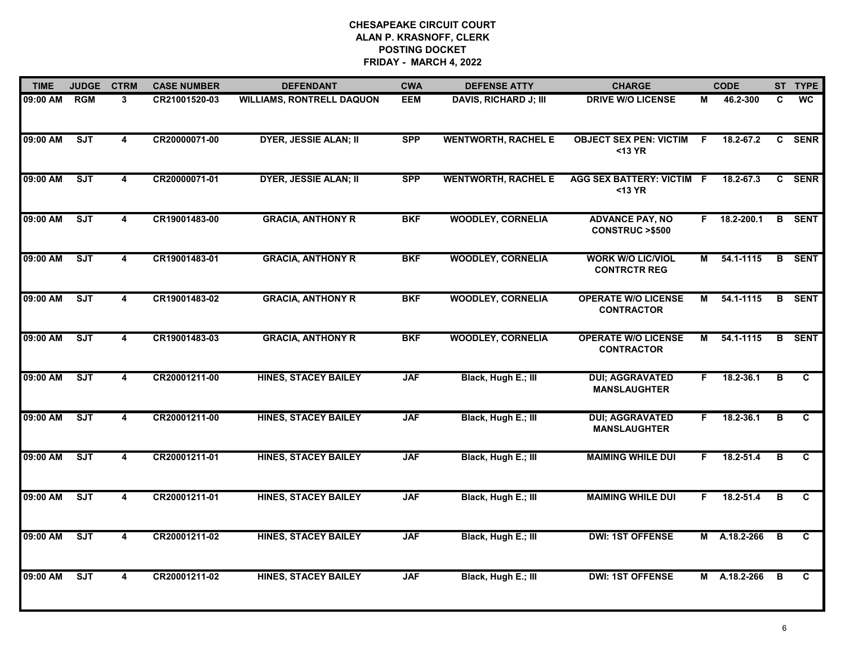| <b>TIME</b> | <b>JUDGE</b> | <b>CTRM</b>             | <b>CASE NUMBER</b> | <b>DEFENDANT</b>                 | <b>CWA</b> | <b>DEFENSE ATTY</b>          | <b>CHARGE</b>                                       |    | <b>CODE</b>   |    | ST TYPE       |
|-------------|--------------|-------------------------|--------------------|----------------------------------|------------|------------------------------|-----------------------------------------------------|----|---------------|----|---------------|
| 09:00 AM    | <b>RGM</b>   | 3                       | CR21001520-03      | <b>WILLIAMS, RONTRELL DAQUON</b> | <b>EEM</b> | <b>DAVIS, RICHARD J; III</b> | <b>DRIVE W/O LICENSE</b>                            | М  | 46.2-300      | C. | WC            |
| 09:00 AM    | <b>SJT</b>   | $\overline{\mathbf{4}}$ | CR20000071-00      | <b>DYER, JESSIE ALAN; II</b>     | <b>SPP</b> | <b>WENTWORTH, RACHEL E</b>   | <b>OBJECT SEX PEN: VICTIM</b><br>$13 YR$            | F. | 18.2-67.2     | C. | <b>SENR</b>   |
| 09:00 AM    | ST           | 4                       | CR20000071-01      | <b>DYER, JESSIE ALAN; II</b>     | <b>SPP</b> | <b>WENTWORTH, RACHEL E</b>   | AGG SEX BATTERY: VICTIM F<br><13 YR                 |    | 18.2-67.3     |    | C SENR        |
| 09:00 AM    | ST           | 4                       | CR19001483-00      | <b>GRACIA, ANTHONY R</b>         | <b>BKF</b> | <b>WOODLEY, CORNELIA</b>     | <b>ADVANCE PAY, NO</b><br><b>CONSTRUC &gt;\$500</b> |    | F 18.2-200.1  | B  | <b>SENT</b>   |
| 09:00 AM    | ST           | 4                       | CR19001483-01      | <b>GRACIA, ANTHONY R</b>         | <b>BKF</b> | <b>WOODLEY, CORNELIA</b>     | <b>WORK W/O LIC/VIOL</b><br><b>CONTRCTR REG</b>     | М  | 54.1-1115     |    | <b>B</b> SENT |
| 09:00 AM    | ST           | 4                       | CR19001483-02      | <b>GRACIA, ANTHONY R</b>         | <b>BKF</b> | <b>WOODLEY, CORNELIA</b>     | <b>OPERATE W/O LICENSE</b><br><b>CONTRACTOR</b>     | M  | 54.1-1115     |    | <b>B</b> SENT |
| 09:00 AM    | ST           | $\overline{\mathbf{4}}$ | CR19001483-03      | <b>GRACIA, ANTHONY R</b>         | <b>BKF</b> | <b>WOODLEY, CORNELIA</b>     | <b>OPERATE W/O LICENSE</b><br><b>CONTRACTOR</b>     | М  | 54.1-1115     | B  | <b>SENT</b>   |
| 09:00 AM    | SJT          | $\overline{\mathbf{4}}$ | CR20001211-00      | <b>HINES, STACEY BAILEY</b>      | <b>JAF</b> | Black, Hugh E.; III          | <b>DUI; AGGRAVATED</b><br><b>MANSLAUGHTER</b>       | F. | 18.2-36.1     | в  | $\mathbf{c}$  |
| 09:00 AM    | SJT          | 4                       | CR20001211-00      | <b>HINES, STACEY BAILEY</b>      | <b>JAF</b> | Black, Hugh E.; III          | <b>DUI; AGGRAVATED</b><br><b>MANSLAUGHTER</b>       | F. | 18.2-36.1     | В  | C             |
| 09:00 AM    | SJT          | 4                       | CR20001211-01      | <b>HINES, STACEY BAILEY</b>      | <b>JAF</b> | Black, Hugh E.; III          | <b>MAIMING WHILE DUI</b>                            | F. | 18.2-51.4     | в  | C             |
| 09:00 AM    | ST           | 4                       | CR20001211-01      | <b>HINES, STACEY BAILEY</b>      | <b>JAF</b> | Black, Hugh E.; III          | <b>MAIMING WHILE DUI</b>                            | F. | $18.2 - 51.4$ | в  | C             |
| 09:00 AM    | SJT          | 4                       | CR20001211-02      | <b>HINES, STACEY BAILEY</b>      | <b>JAF</b> | Black, Hugh E.; III          | <b>DWI: 1ST OFFENSE</b>                             |    | M A.18.2-266  | в  | C             |
| 09:00 AM    | SJT          | 4                       | CR20001211-02      | <b>HINES, STACEY BAILEY</b>      | <b>JAF</b> | Black, Hugh E.; III          | <b>DWI: 1ST OFFENSE</b>                             |    | M A.18.2-266  | в  | C             |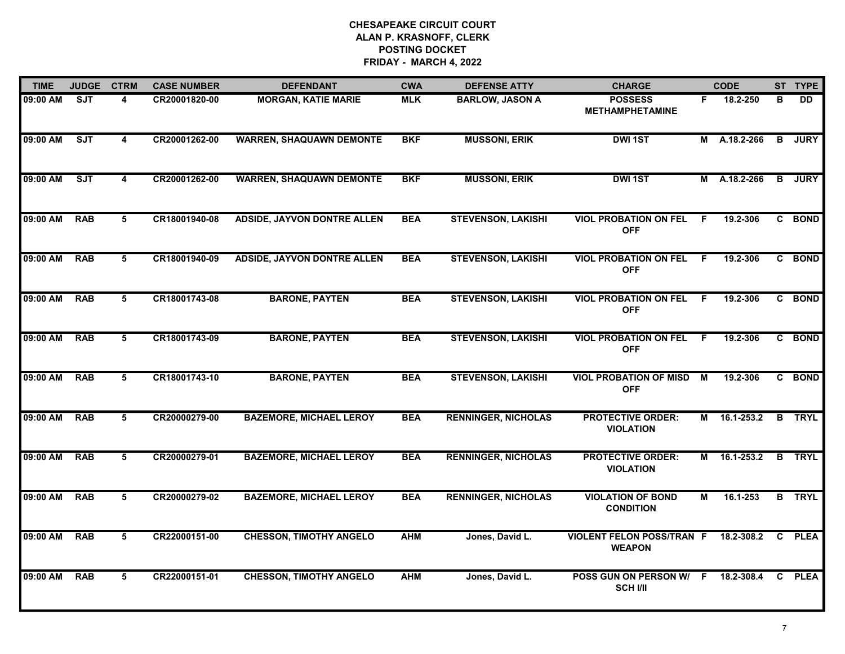| <b>TIME</b> | <b>JUDGE</b> | <b>CTRM</b>     | <b>CASE NUMBER</b> | <b>DEFENDANT</b>                   | <b>CWA</b> | <b>DEFENSE ATTY</b>        | <b>CHARGE</b>                                     |     | <b>CODE</b>  |                         | ST TYPE       |
|-------------|--------------|-----------------|--------------------|------------------------------------|------------|----------------------------|---------------------------------------------------|-----|--------------|-------------------------|---------------|
| 09:00 AM    | SJT          | 4               | CR20001820-00      | <b>MORGAN, KATIE MARIE</b>         | <b>MLK</b> | <b>BARLOW, JASON A</b>     | <b>POSSESS</b><br><b>METHAMPHETAMINE</b>          | F.  | 18.2-250     | в                       | <b>DD</b>     |
| 09:00 AM    | <b>SJT</b>   | 4               | CR20001262-00      | <b>WARREN, SHAQUAWN DEMONTE</b>    | <b>BKF</b> | <b>MUSSONI, ERIK</b>       | <b>DWI 1ST</b>                                    |     | M A.18.2-266 | B                       | <b>JURY</b>   |
| 09:00 AM    | SJT          | 4               | CR20001262-00      | <b>WARREN, SHAQUAWN DEMONTE</b>    | <b>BKF</b> | <b>MUSSONI, ERIK</b>       | <b>DWI 1ST</b>                                    | м   | A.18.2-266   | B                       | <b>JURY</b>   |
| 09:00 AM    | <b>RAB</b>   | 5               | CR18001940-08      | <b>ADSIDE, JAYVON DONTRE ALLEN</b> | <b>BEA</b> | <b>STEVENSON, LAKISHI</b>  | <b>VIOL PROBATION ON FEL</b><br><b>OFF</b>        | -F  | 19.2-306     |                         | C BOND        |
| 09:00 AM    | <b>RAB</b>   | 5               | CR18001940-09      | <b>ADSIDE, JAYVON DONTRE ALLEN</b> | <b>BEA</b> | <b>STEVENSON, LAKISHI</b>  | <b>VIOL PROBATION ON FEL</b><br><b>OFF</b>        | -F  | 19.2-306     |                         | C BOND        |
| 09:00 AM    | <b>RAB</b>   | 5               | CR18001743-08      | <b>BARONE, PAYTEN</b>              | <b>BEA</b> | <b>STEVENSON, LAKISHI</b>  | <b>VIOL PROBATION ON FEL</b><br><b>OFF</b>        | - F | 19.2-306     |                         | C BOND        |
| 09:00 AM    | <b>RAB</b>   | $5\overline{)}$ | CR18001743-09      | <b>BARONE, PAYTEN</b>              | <b>BEA</b> | <b>STEVENSON, LAKISHI</b>  | <b>VIOL PROBATION ON FEL</b><br><b>OFF</b>        | - F | 19.2-306     |                         | C BOND        |
| 09:00 AM    | <b>RAB</b>   | 5               | CR18001743-10      | <b>BARONE, PAYTEN</b>              | <b>BEA</b> | <b>STEVENSON, LAKISHI</b>  | <b>VIOL PROBATION OF MISD</b><br><b>OFF</b>       | M   | 19.2-306     |                         | C BOND        |
| 09:00 AM    | <b>RAB</b>   | 5               | CR20000279-00      | <b>BAZEMORE, MICHAEL LEROY</b>     | <b>BEA</b> | <b>RENNINGER, NICHOLAS</b> | <b>PROTECTIVE ORDER:</b><br><b>VIOLATION</b>      | М   | 16.1-253.2   |                         | <b>B</b> TRYL |
| 09:00 AM    | <b>RAB</b>   | 5               | CR20000279-01      | <b>BAZEMORE, MICHAEL LEROY</b>     | <b>BEA</b> | <b>RENNINGER, NICHOLAS</b> | <b>PROTECTIVE ORDER:</b><br><b>VIOLATION</b>      | M   | 16.1-253.2   | $\overline{\mathbf{B}}$ | <b>TRYL</b>   |
| 09:00 AM    | <b>RAB</b>   | 5               | CR20000279-02      | <b>BAZEMORE, MICHAEL LEROY</b>     | <b>BEA</b> | <b>RENNINGER, NICHOLAS</b> | <b>VIOLATION OF BOND</b><br><b>CONDITION</b>      | М   | 16.1-253     |                         | <b>B</b> TRYL |
| 09:00 AM    | <b>RAB</b>   | 5               | CR22000151-00      | <b>CHESSON, TIMOTHY ANGELO</b>     | <b>AHM</b> | Jones, David L.            | <b>VIOLENT FELON POSS/TRAN F</b><br><b>WEAPON</b> |     | 18.2-308.2   |                         | C PLEA        |
| 09:00 AM    | <b>RAB</b>   | 5               | CR22000151-01      | <b>CHESSON, TIMOTHY ANGELO</b>     | <b>AHM</b> | Jones, David L.            | POSS GUN ON PERSON W/ F<br><b>SCH I/II</b>        |     | 18.2-308.4   | C.                      | <b>PLEA</b>   |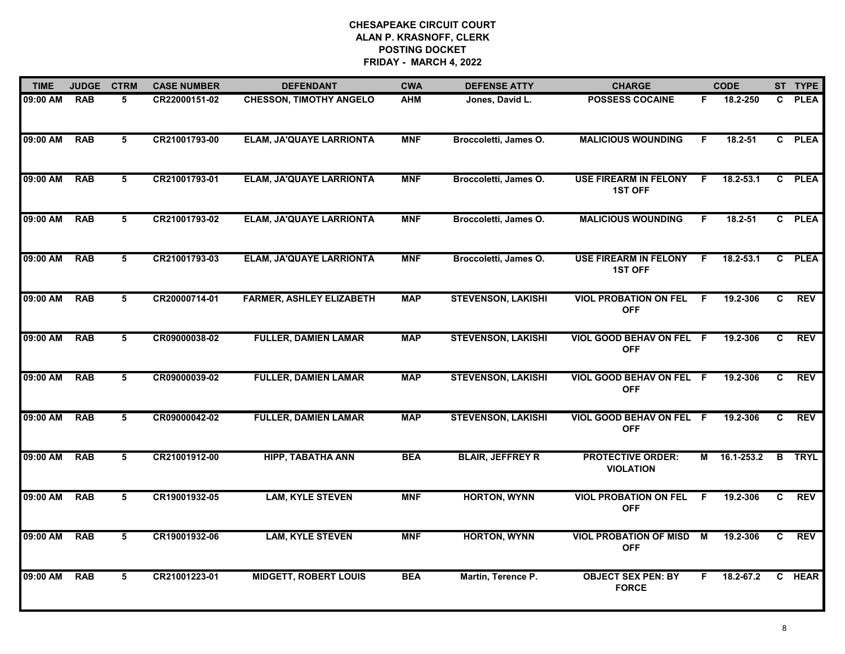| <b>TIME</b> | <b>JUDGE</b> | <b>CTRM</b>    | <b>CASE NUMBER</b> | <b>DEFENDANT</b>                | <b>CWA</b> | <b>DEFENSE ATTY</b>       | <b>CHARGE</b>                                  |    | <b>CODE</b> |    | ST TYPE     |
|-------------|--------------|----------------|--------------------|---------------------------------|------------|---------------------------|------------------------------------------------|----|-------------|----|-------------|
| 09:00 AM    | <b>RAB</b>   | 5              | CR22000151-02      | <b>CHESSON, TIMOTHY ANGELO</b>  | <b>AHM</b> | Jones, David L.           | <b>POSSESS COCAINE</b>                         | F. | 18.2-250    | C  | <b>PLEA</b> |
| 09:00 AM    | <b>RAB</b>   | 5              | CR21001793-00      | <b>ELAM, JA'QUAYE LARRIONTA</b> | <b>MNF</b> | Broccoletti, James O.     | <b>MALICIOUS WOUNDING</b>                      | F. | 18.2-51     |    | C PLEA      |
| 09:00 AM    | <b>RAB</b>   | 5              | CR21001793-01      | ELAM, JA'QUAYE LARRIONTA        | <b>MNF</b> | Broccoletti, James O.     | <b>USE FIREARM IN FELONY</b><br><b>1ST OFF</b> | F  | 18.2-53.1   | C  | <b>PLEA</b> |
| 09:00 AM    | <b>RAB</b>   | 5              | CR21001793-02      | <b>ELAM, JA'QUAYE LARRIONTA</b> | <b>MNF</b> | Broccoletti, James O.     | <b>MALICIOUS WOUNDING</b>                      | F. | 18.2-51     |    | C PLEA      |
| 09:00 AM    | <b>RAB</b>   | 5              | CR21001793-03      | <b>ELAM, JA'QUAYE LARRIONTA</b> | <b>MNF</b> | Broccoletti, James O.     | <b>USE FIREARM IN FELONY</b><br><b>1ST OFF</b> | -F | 18.2-53.1   | C  | <b>PLEA</b> |
| 09:00 AM    | <b>RAB</b>   | 5              | CR20000714-01      | <b>FARMER, ASHLEY ELIZABETH</b> | <b>MAP</b> | <b>STEVENSON, LAKISHI</b> | <b>VIOL PROBATION ON FEL</b><br><b>OFF</b>     | -F | 19.2-306    | C. | <b>REV</b>  |
| 09:00 AM    | <b>RAB</b>   | 5              | CR09000038-02      | <b>FULLER, DAMIEN LAMAR</b>     | <b>MAP</b> | <b>STEVENSON, LAKISHI</b> | VIOL GOOD BEHAV ON FEL F<br><b>OFF</b>         |    | 19.2-306    | C  | <b>REV</b>  |
| 09:00 AM    | <b>RAB</b>   | 5              | CR09000039-02      | <b>FULLER, DAMIEN LAMAR</b>     | <b>MAP</b> | <b>STEVENSON, LAKISHI</b> | VIOL GOOD BEHAV ON FEL F<br><b>OFF</b>         |    | 19.2-306    | C. | <b>REV</b>  |
| 09:00 AM    | <b>RAB</b>   | 5              | CR09000042-02      | <b>FULLER, DAMIEN LAMAR</b>     | <b>MAP</b> | <b>STEVENSON, LAKISHI</b> | VIOL GOOD BEHAV ON FEL F<br><b>OFF</b>         |    | 19.2-306    | C. | <b>REV</b>  |
| 09:00 AM    | <b>RAB</b>   | 5              | CR21001912-00      | <b>HIPP, TABATHA ANN</b>        | <b>BEA</b> | <b>BLAIR, JEFFREY R</b>   | <b>PROTECTIVE ORDER:</b><br><b>VIOLATION</b>   | M  | 16.1-253.2  | B  | <b>TRYL</b> |
| 09:00 AM    | <b>RAB</b>   | 5              | CR19001932-05      | <b>LAM, KYLE STEVEN</b>         | <b>MNF</b> | <b>HORTON, WYNN</b>       | <b>VIOL PROBATION ON FEL</b><br><b>OFF</b>     | -F | 19.2-306    | C. | <b>REV</b>  |
| 09:00 AM    | <b>RAB</b>   | $\overline{5}$ | CR19001932-06      | <b>LAM, KYLE STEVEN</b>         | <b>MNF</b> | <b>HORTON, WYNN</b>       | <b>VIOL PROBATION OF MISD</b><br><b>OFF</b>    | M  | 19.2-306    | C. | <b>REV</b>  |
| 09:00 AM    | <b>RAB</b>   | 5              | CR21001223-01      | <b>MIDGETT, ROBERT LOUIS</b>    | <b>BEA</b> | Martin, Terence P.        | <b>OBJECT SEX PEN: BY</b><br><b>FORCE</b>      | F. | 18.2-67.2   |    | C HEAR      |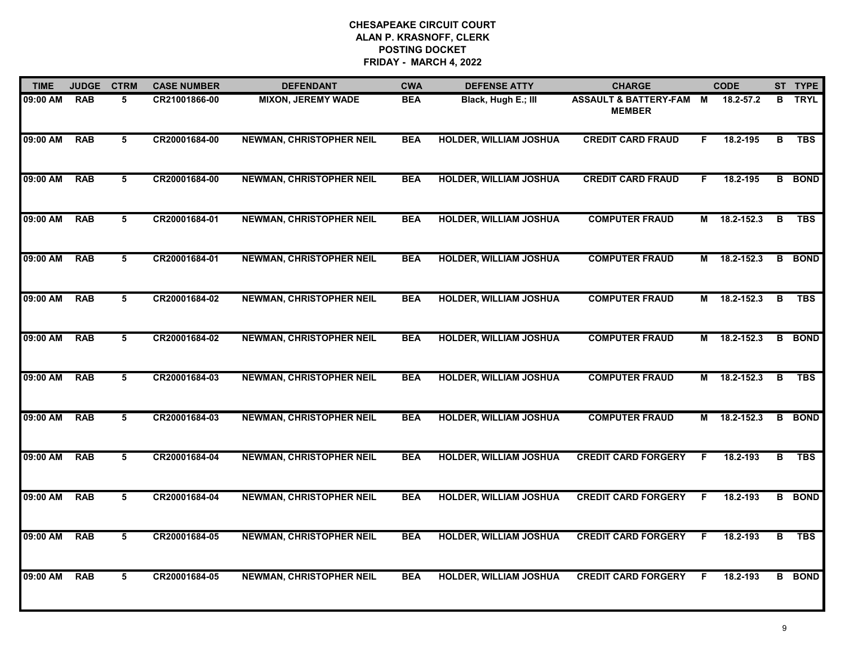| <b>TIME</b> | <b>JUDGE</b> | <b>CTRM</b> | <b>CASE NUMBER</b> | <b>DEFENDANT</b>                | <b>CWA</b> | <b>DEFENSE ATTY</b>           | <b>CHARGE</b>                            |    | <b>CODE</b> |   | ST TYPE       |
|-------------|--------------|-------------|--------------------|---------------------------------|------------|-------------------------------|------------------------------------------|----|-------------|---|---------------|
| 09:00 AM    | <b>RAB</b>   | 5           | CR21001866-00      | <b>MIXON, JEREMY WADE</b>       | <b>BEA</b> | Black, Hugh E.; III           | ASSAULT & BATTERY-FAM M<br><b>MEMBER</b> |    | 18.2-57.2   | B | <b>TRYL</b>   |
| 09:00 AM    | <b>RAB</b>   | 5           | CR20001684-00      | <b>NEWMAN, CHRISTOPHER NEIL</b> | <b>BEA</b> | <b>HOLDER, WILLIAM JOSHUA</b> | <b>CREDIT CARD FRAUD</b>                 | F. | 18.2-195    | в | <b>TBS</b>    |
| 09:00 AM    | <b>RAB</b>   | 5           | CR20001684-00      | <b>NEWMAN, CHRISTOPHER NEIL</b> | <b>BEA</b> | <b>HOLDER, WILLIAM JOSHUA</b> | <b>CREDIT CARD FRAUD</b>                 | F. | 18.2-195    |   | <b>B</b> BOND |
| 09:00 AM    | <b>RAB</b>   | 5           | CR20001684-01      | <b>NEWMAN, CHRISTOPHER NEIL</b> | <b>BEA</b> | <b>HOLDER, WILLIAM JOSHUA</b> | <b>COMPUTER FRAUD</b>                    | М  | 18.2-152.3  | B | <b>TBS</b>    |
| 09:00 AM    | <b>RAB</b>   | 5           | CR20001684-01      | <b>NEWMAN, CHRISTOPHER NEIL</b> | <b>BEA</b> | <b>HOLDER, WILLIAM JOSHUA</b> | <b>COMPUTER FRAUD</b>                    | М  | 18.2-152.3  |   | <b>B</b> BOND |
| 09:00 AM    | <b>RAB</b>   | 5           | CR20001684-02      | <b>NEWMAN, CHRISTOPHER NEIL</b> | <b>BEA</b> | <b>HOLDER, WILLIAM JOSHUA</b> | <b>COMPUTER FRAUD</b>                    | М  | 18.2-152.3  | B | <b>TBS</b>    |
| 09:00 AM    | <b>RAB</b>   | 5           | CR20001684-02      | <b>NEWMAN, CHRISTOPHER NEIL</b> | <b>BEA</b> | <b>HOLDER, WILLIAM JOSHUA</b> | <b>COMPUTER FRAUD</b>                    | М  | 18.2-152.3  | В | <b>BOND</b>   |
| 09:00 AM    | <b>RAB</b>   | 5           | CR20001684-03      | <b>NEWMAN, CHRISTOPHER NEIL</b> | <b>BEA</b> | <b>HOLDER, WILLIAM JOSHUA</b> | <b>COMPUTER FRAUD</b>                    | M  | 18.2-152.3  | в | <b>TBS</b>    |
| 09:00 AM    | <b>RAB</b>   | 5           | CR20001684-03      | <b>NEWMAN, CHRISTOPHER NEIL</b> | <b>BEA</b> | <b>HOLDER, WILLIAM JOSHUA</b> | <b>COMPUTER FRAUD</b>                    | М  | 18.2-152.3  | B | <b>BOND</b>   |
| 09:00 AM    | <b>RAB</b>   | 5           | CR20001684-04      | <b>NEWMAN, CHRISTOPHER NEIL</b> | <b>BEA</b> | <b>HOLDER, WILLIAM JOSHUA</b> | <b>CREDIT CARD FORGERY</b>               | F  | 18.2-193    | B | <b>TBS</b>    |
| 09:00 AM    | <b>RAB</b>   | 5           | CR20001684-04      | <b>NEWMAN, CHRISTOPHER NEIL</b> | <b>BEA</b> | <b>HOLDER, WILLIAM JOSHUA</b> | <b>CREDIT CARD FORGERY</b>               | E  | 18.2-193    |   | <b>B</b> BOND |
| 09:00 AM    | <b>RAB</b>   | 5           | CR20001684-05      | <b>NEWMAN, CHRISTOPHER NEIL</b> | <b>BEA</b> | <b>HOLDER, WILLIAM JOSHUA</b> | <b>CREDIT CARD FORGERY</b>               | F. | 18.2-193    | B | <b>TBS</b>    |
| 09:00 AM    | <b>RAB</b>   | 5           | CR20001684-05      | <b>NEWMAN, CHRISTOPHER NEIL</b> | <b>BEA</b> | <b>HOLDER, WILLIAM JOSHUA</b> | <b>CREDIT CARD FORGERY</b>               | F  | 18.2-193    |   | <b>B</b> BOND |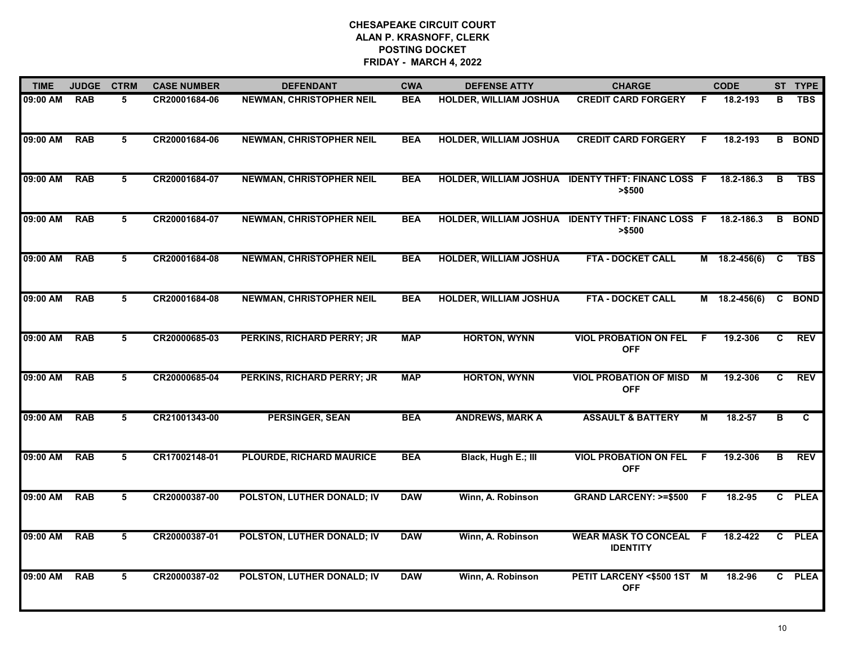| <b>TIME</b> | <b>JUDGE</b> | <b>CTRM</b> | <b>CASE NUMBER</b> | <b>DEFENDANT</b>                  | <b>CWA</b> | <b>DEFENSE ATTY</b>           | <b>CHARGE</b>                                  |    | <b>CODE</b>     |    | ST TYPE       |
|-------------|--------------|-------------|--------------------|-----------------------------------|------------|-------------------------------|------------------------------------------------|----|-----------------|----|---------------|
| 09:00 AM    | <b>RAB</b>   | 5           | CR20001684-06      | <b>NEWMAN, CHRISTOPHER NEIL</b>   | <b>BEA</b> | HOLDER, WILLIAM JOSHUA        | <b>CREDIT CARD FORGERY</b>                     | F  | 18.2-193        | B  | <b>TBS</b>    |
| 09:00 AM    | <b>RAB</b>   | 5           | CR20001684-06      | <b>NEWMAN, CHRISTOPHER NEIL</b>   | <b>BEA</b> | <b>HOLDER, WILLIAM JOSHUA</b> | <b>CREDIT CARD FORGERY</b>                     | F. | 18.2-193        |    | <b>B</b> BOND |
| 09:00 AM    | <b>RAB</b>   | 5           | CR20001684-07      | <b>NEWMAN, CHRISTOPHER NEIL</b>   | <b>BEA</b> | <b>HOLDER, WILLIAM JOSHUA</b> | <b>IDENTY THFT: FINANC LOSS F</b><br>> \$500   |    | 18.2-186.3      | В  | <b>TBS</b>    |
| 09:00 AM    | <b>RAB</b>   | 5           | CR20001684-07      | <b>NEWMAN, CHRISTOPHER NEIL</b>   | <b>BEA</b> | <b>HOLDER, WILLIAM JOSHUA</b> | <b>IDENTY THFT: FINANC LOSS F</b><br>> \$500   |    | 18.2-186.3      | В  | <b>BOND</b>   |
| 09:00 AM    | <b>RAB</b>   | 5           | CR20001684-08      | <b>NEWMAN, CHRISTOPHER NEIL</b>   | <b>BEA</b> | <b>HOLDER, WILLIAM JOSHUA</b> | <b>FTA - DOCKET CALL</b>                       |    | $M$ 18.2-456(6) | C  | <b>TBS</b>    |
| 09:00 AM    | <b>RAB</b>   | 5           | CR20001684-08      | <b>NEWMAN, CHRISTOPHER NEIL</b>   | <b>BEA</b> | <b>HOLDER, WILLIAM JOSHUA</b> | <b>FTA - DOCKET CALL</b>                       |    | M 18.2-456(6)   | C  | <b>BOND</b>   |
| 09:00 AM    | <b>RAB</b>   | 5           | CR20000685-03      | <b>PERKINS, RICHARD PERRY; JR</b> | <b>MAP</b> | <b>HORTON, WYNN</b>           | <b>VIOL PROBATION ON FEL</b><br><b>OFF</b>     | F. | 19.2-306        | C  | <b>REV</b>    |
| 09:00 AM    | <b>RAB</b>   | 5           | CR20000685-04      | PERKINS, RICHARD PERRY; JR        | <b>MAP</b> | <b>HORTON, WYNN</b>           | <b>VIOL PROBATION OF MISD</b><br><b>OFF</b>    | М  | 19.2-306        | C. | <b>REV</b>    |
| 09:00 AM    | <b>RAB</b>   | 5           | CR21001343-00      | <b>PERSINGER, SEAN</b>            | <b>BEA</b> | <b>ANDREWS, MARK A</b>        | <b>ASSAULT &amp; BATTERY</b>                   | м  | 18.2-57         | в  | C             |
| 09:00 AM    | <b>RAB</b>   | 5           | CR17002148-01      | PLOURDE, RICHARD MAURICE          | <b>BEA</b> | Black, Hugh E.; III           | <b>VIOL PROBATION ON FEL</b><br><b>OFF</b>     | F. | 19.2-306        | В  | <b>REV</b>    |
| 09:00 AM    | <b>RAB</b>   | 5           | CR20000387-00      | POLSTON, LUTHER DONALD; IV        | <b>DAW</b> | Winn, A. Robinson             | <b>GRAND LARCENY: &gt;=\$500</b>               | -F | 18.2-95         | C. | <b>PLEA</b>   |
| 09:00 AM    | <b>RAB</b>   | 5           | CR20000387-01      | POLSTON, LUTHER DONALD; IV        | <b>DAW</b> | Winn, A. Robinson             | <b>WEAR MASK TO CONCEAL</b><br><b>IDENTITY</b> | -F | 18.2-422        |    | C PLEA        |
| 09:00 AM    | <b>RAB</b>   | 5           | CR20000387-02      | POLSTON, LUTHER DONALD; IV        | <b>DAW</b> | Winn, A. Robinson             | PETIT LARCENY <\$500 1ST M<br><b>OFF</b>       |    | 18.2-96         |    | C PLEA        |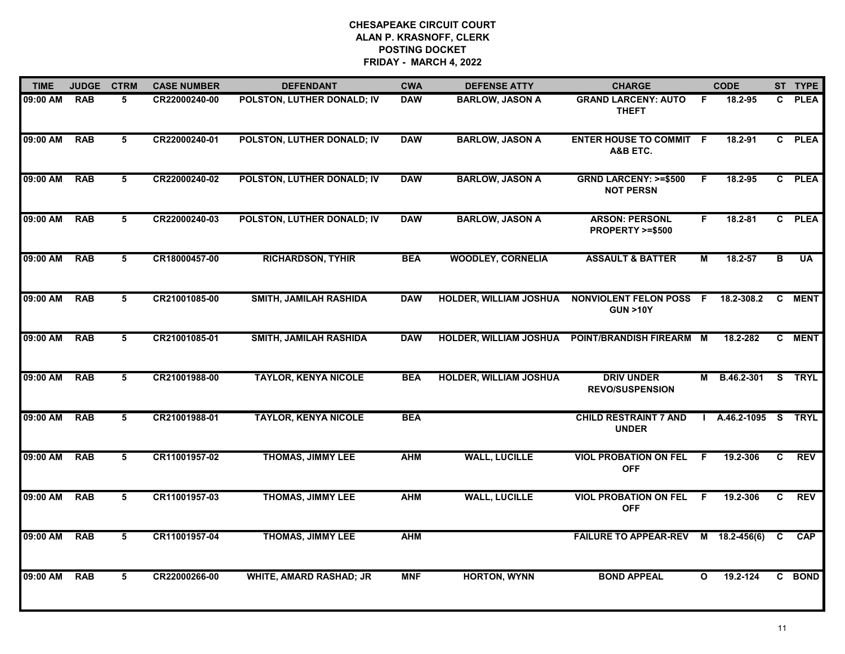| <b>TIME</b> | <b>JUDGE</b> | <b>CTRM</b>     | <b>CASE NUMBER</b> | <b>DEFENDANT</b>               | <b>CWA</b> | <b>DEFENSE ATTY</b>           | <b>CHARGE</b>                                       |              | <b>CODE</b>        |                | ST TYPE     |
|-------------|--------------|-----------------|--------------------|--------------------------------|------------|-------------------------------|-----------------------------------------------------|--------------|--------------------|----------------|-------------|
| 09:00 AM    | <b>RAB</b>   | 5               | CR22000240-00      | POLSTON, LUTHER DONALD; IV     | <b>DAW</b> | <b>BARLOW, JASON A</b>        | <b>GRAND LARCENY: AUTO</b><br><b>THEFT</b>          | -F           | 18.2-95            | C.             | <b>PLEA</b> |
| 09:00 AM    | <b>RAB</b>   | $5\overline{5}$ | CR22000240-01      | POLSTON, LUTHER DONALD; IV     | <b>DAW</b> | <b>BARLOW, JASON A</b>        | <b>ENTER HOUSE TO COMMIT F</b><br>A&B ETC.          |              | 18.2-91            |                | C PLEA      |
| 09:00 AM    | <b>RAB</b>   | 5               | CR22000240-02      | POLSTON, LUTHER DONALD; IV     | <b>DAW</b> | <b>BARLOW, JASON A</b>        | <b>GRND LARCENY: &gt;=\$500</b><br><b>NOT PERSN</b> | F            | 18.2-95            |                | C PLEA      |
| 09:00 AM    | <b>RAB</b>   | 5               | CR22000240-03      | POLSTON, LUTHER DONALD; IV     | <b>DAW</b> | <b>BARLOW, JASON A</b>        | <b>ARSON: PERSONL</b><br>PROPERTY >=\$500           | F.           | $18.2 - 81$        |                | C PLEA      |
| 09:00 AM    | <b>RAB</b>   | 5               | CR18000457-00      | <b>RICHARDSON, TYHIR</b>       | <b>BEA</b> | <b>WOODLEY, CORNELIA</b>      | <b>ASSAULT &amp; BATTER</b>                         | М            | 18.2-57            | в              | <b>UA</b>   |
| 09:00 AM    | <b>RAB</b>   | 5               | CR21001085-00      | SMITH, JAMILAH RASHIDA         | <b>DAW</b> | HOLDER, WILLIAM JOSHUA        | NONVIOLENT FELON POSS F<br><b>GUN &gt;10Y</b>       |              | 18.2-308.2         |                | C MENT      |
| 09:00 AM    | <b>RAB</b>   | $5\overline{)}$ | CR21001085-01      | SMITH, JAMILAH RASHIDA         | <b>DAW</b> | <b>HOLDER, WILLIAM JOSHUA</b> | POINT/BRANDISH FIREARM M                            |              | 18.2-282           | $\overline{c}$ | <b>MENT</b> |
| 09:00 AM    | <b>RAB</b>   | 5               | CR21001988-00      | <b>TAYLOR, KENYA NICOLE</b>    | <b>BEA</b> | <b>HOLDER, WILLIAM JOSHUA</b> | <b>DRIV UNDER</b><br><b>REVO/SUSPENSION</b>         |              | M B.46.2-301       |                | S TRYL      |
| 09:00 AM    | <b>RAB</b>   | 5               | CR21001988-01      | <b>TAYLOR, KENYA NICOLE</b>    | <b>BEA</b> |                               | <b>CHILD RESTRAINT 7 AND</b><br><b>UNDER</b>        |              | A.46.2-1095 S TRYL |                |             |
| 09:00 AM    | <b>RAB</b>   | 5               | CR11001957-02      | <b>THOMAS, JIMMY LEE</b>       | <b>AHM</b> | <b>WALL, LUCILLE</b>          | <b>VIOL PROBATION ON FEL</b><br><b>OFF</b>          | F.           | 19.2-306           | C              | <b>REV</b>  |
| 09:00 AM    | <b>RAB</b>   | 5               | CR11001957-03      | <b>THOMAS, JIMMY LEE</b>       | <b>AHM</b> | <b>WALL, LUCILLE</b>          | <b>VIOL PROBATION ON FEL</b><br><b>OFF</b>          | - F          | 19.2-306           | C              | <b>REV</b>  |
| 09:00 AM    | <b>RAB</b>   | 5               | CR11001957-04      | <b>THOMAS, JIMMY LEE</b>       | <b>AHM</b> |                               | FAILURE TO APPEAR-REV M 18.2-456(6)                 |              |                    | C.             | <b>CAP</b>  |
| 09:00 AM    | <b>RAB</b>   | 5               | CR22000266-00      | <b>WHITE, AMARD RASHAD; JR</b> | <b>MNF</b> | <b>HORTON, WYNN</b>           | <b>BOND APPEAL</b>                                  | $\mathbf{o}$ | 19.2-124           |                | C BOND      |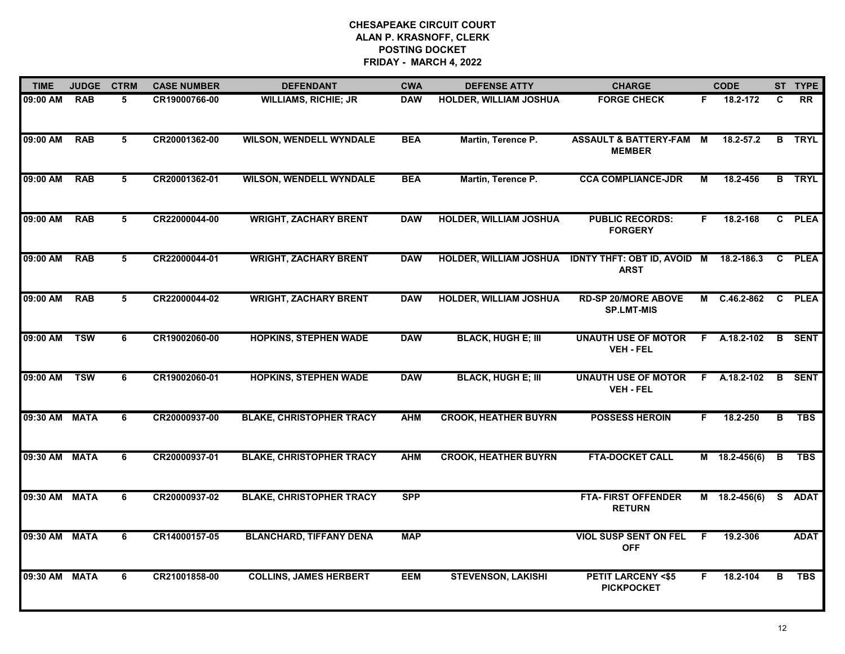| <b>TIME</b>   | <b>JUDGE</b> | <b>CTRM</b> | <b>CASE NUMBER</b> | <b>DEFENDANT</b>                | <b>CWA</b> | <b>DEFENSE ATTY</b>           | <b>CHARGE</b>                                     |    | <b>CODE</b>     |    | ST TYPE       |
|---------------|--------------|-------------|--------------------|---------------------------------|------------|-------------------------------|---------------------------------------------------|----|-----------------|----|---------------|
| 09:00 AM      | <b>RAB</b>   | 5           | CR19000766-00      | <b>WILLIAMS, RICHIE; JR</b>     | <b>DAW</b> | <b>HOLDER, WILLIAM JOSHUA</b> | <b>FORGE CHECK</b>                                | F. | 18.2-172        | C  | <b>RR</b>     |
| 09:00 AM      | <b>RAB</b>   | 5           | CR20001362-00      | <b>WILSON, WENDELL WYNDALE</b>  | <b>BEA</b> | Martin, Terence P.            | <b>ASSAULT &amp; BATTERY-FAM</b><br><b>MEMBER</b> | M  | 18.2-57.2       |    | <b>B</b> TRYL |
| 09:00 AM      | <b>RAB</b>   | 5           | CR20001362-01      | <b>WILSON, WENDELL WYNDALE</b>  | <b>BEA</b> | Martin, Terence P.            | <b>CCA COMPLIANCE-JDR</b>                         | М  | 18.2-456        |    | <b>B</b> TRYL |
| 09:00 AM      | <b>RAB</b>   | 5           | CR22000044-00      | <b>WRIGHT, ZACHARY BRENT</b>    | <b>DAW</b> | <b>HOLDER, WILLIAM JOSHUA</b> | <b>PUBLIC RECORDS:</b><br><b>FORGERY</b>          | F. | 18.2-168        |    | C PLEA        |
| 09:00 AM      | <b>RAB</b>   | 5           | CR22000044-01      | <b>WRIGHT, ZACHARY BRENT</b>    | <b>DAW</b> | <b>HOLDER, WILLIAM JOSHUA</b> | <b>IDNTY THFT: OBT ID, AVOID M</b><br><b>ARST</b> |    | 18.2-186.3      | C. | <b>PLEA</b>   |
| 09:00 AM      | <b>RAB</b>   | 5           | CR22000044-02      | <b>WRIGHT, ZACHARY BRENT</b>    | <b>DAW</b> | <b>HOLDER, WILLIAM JOSHUA</b> | <b>RD-SP 20/MORE ABOVE</b><br><b>SP.LMT-MIS</b>   |    | M C.46.2-862    | C  | <b>PLEA</b>   |
| 09:00 AM      | <b>TSW</b>   | 6           | CR19002060-00      | <b>HOPKINS, STEPHEN WADE</b>    | <b>DAW</b> | <b>BLACK, HUGH E; III</b>     | <b>UNAUTH USE OF MOTOR</b><br><b>VEH - FEL</b>    |    | $F$ A.18.2-102  |    | <b>B</b> SENT |
| 09:00 AM TSW  |              | 6           | CR19002060-01      | <b>HOPKINS, STEPHEN WADE</b>    | <b>DAW</b> | <b>BLACK, HUGH E; III</b>     | <b>UNAUTH USE OF MOTOR</b><br><b>VEH - FEL</b>    |    | F A.18.2-102    | B  | <b>SENT</b>   |
| 09:30 AM MATA |              | 6           | CR20000937-00      | <b>BLAKE, CHRISTOPHER TRACY</b> | <b>AHM</b> | <b>CROOK, HEATHER BUYRN</b>   | <b>POSSESS HEROIN</b>                             | F. | 18.2-250        | B  | <b>TBS</b>    |
| 09:30 AM MATA |              | 6           | CR20000937-01      | <b>BLAKE, CHRISTOPHER TRACY</b> | <b>AHM</b> | <b>CROOK, HEATHER BUYRN</b>   | <b>FTA-DOCKET CALL</b>                            |    | M 18.2-456(6)   | в  | <b>TBS</b>    |
| 09:30 AM MATA |              | 6           | CR20000937-02      | <b>BLAKE, CHRISTOPHER TRACY</b> | <b>SPP</b> |                               | <b>FTA-FIRST OFFENDER</b><br><b>RETURN</b>        |    | $M$ 18.2-456(6) | S. | <b>ADAT</b>   |
| 09:30 AM MATA |              | 6           | CR14000157-05      | <b>BLANCHARD, TIFFANY DENA</b>  | <b>MAP</b> |                               | <b>VIOL SUSP SENT ON FEL</b><br><b>OFF</b>        | F. | 19.2-306        |    | <b>ADAT</b>   |
| 09:30 AM MATA |              | 6           | CR21001858-00      | <b>COLLINS, JAMES HERBERT</b>   | <b>EEM</b> | <b>STEVENSON, LAKISHI</b>     | <b>PETIT LARCENY &lt;\$5</b><br><b>PICKPOCKET</b> | F. | 18.2-104        | В  | <b>TBS</b>    |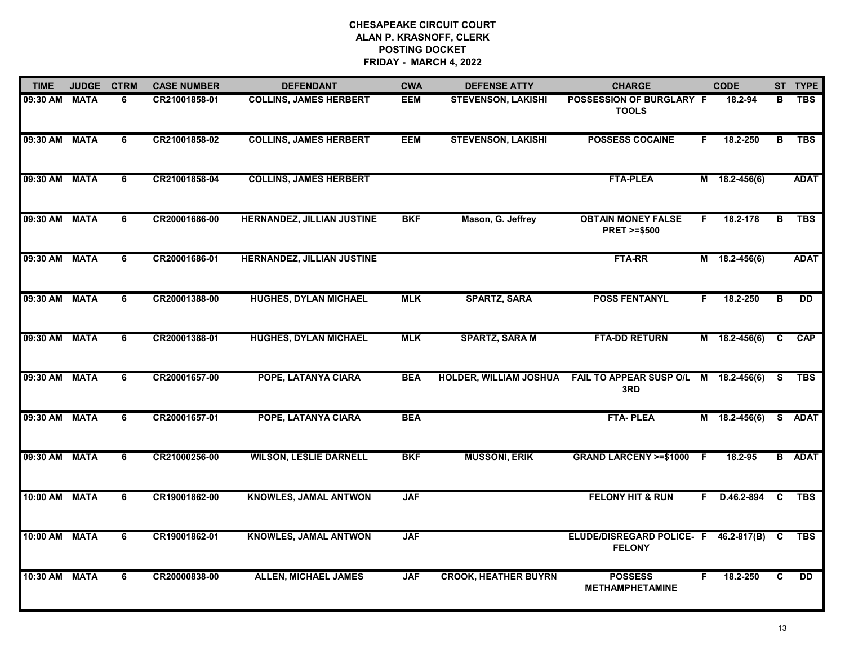| <b>TIME</b>   | <b>JUDGE</b> | <b>CTRM</b>    | <b>CASE NUMBER</b> | <b>DEFENDANT</b>                  | <b>CWA</b> | <b>DEFENSE ATTY</b>           | <b>CHARGE</b>                                          |    | <b>CODE</b>     |          | ST TYPE       |
|---------------|--------------|----------------|--------------------|-----------------------------------|------------|-------------------------------|--------------------------------------------------------|----|-----------------|----------|---------------|
| 09:30 AM      | <b>MATA</b>  | 6              | CR21001858-01      | <b>COLLINS, JAMES HERBERT</b>     | EEM        | <b>STEVENSON, LAKISHI</b>     | POSSESSION OF BURGLARY F<br><b>TOOLS</b>               |    | 18.2-94         | в        | <b>TBS</b>    |
| 09:30 AM      | <b>MATA</b>  | 6              | CR21001858-02      | <b>COLLINS, JAMES HERBERT</b>     | <b>EEM</b> | <b>STEVENSON, LAKISHI</b>     | <b>POSSESS COCAINE</b>                                 | F. | 18.2-250        | в        | <b>TBS</b>    |
| 09:30 AM      | <b>MATA</b>  | 6              | CR21001858-04      | <b>COLLINS, JAMES HERBERT</b>     |            |                               | <b>FTA-PLEA</b>                                        |    | $M$ 18.2-456(6) |          | <b>ADAT</b>   |
| 09:30 AM      | <b>MATA</b>  | 6              | CR20001686-00      | <b>HERNANDEZ, JILLIAN JUSTINE</b> | <b>BKF</b> | Mason, G. Jeffrey             | <b>OBTAIN MONEY FALSE</b><br><b>PRET &gt;=\$500</b>    | F. | 18.2-178        | в        | <b>TBS</b>    |
| 09:30 AM      | <b>MATA</b>  | 6              | CR20001686-01      | <b>HERNANDEZ, JILLIAN JUSTINE</b> |            |                               | <b>FTA-RR</b>                                          |    | $M$ 18.2-456(6) |          | <b>ADAT</b>   |
| 09:30 AM MATA |              | 6              | CR20001388-00      | <b>HUGHES, DYLAN MICHAEL</b>      | <b>MLK</b> | <b>SPARTZ, SARA</b>           | <b>POSS FENTANYL</b>                                   | F. | 18.2-250        | в        | <b>DD</b>     |
| 09:30 AM      | <b>MATA</b>  | 6              | CR20001388-01      | <b>HUGHES, DYLAN MICHAEL</b>      | <b>MLK</b> | <b>SPARTZ, SARA M</b>         | <b>FTA-DD RETURN</b>                                   |    | $M$ 18.2-456(6) | C        | <b>CAP</b>    |
| 09:30 AM      | <b>MATA</b>  | 6              | CR20001657-00      | POPE, LATANYA CIARA               | <b>BEA</b> | <b>HOLDER, WILLIAM JOSHUA</b> | FAIL TO APPEAR SUSP O/L M 18.2-456(6)<br>3RD           |    |                 | S.       | <b>TBS</b>    |
| 09:30 AM      | <b>MATA</b>  | 6              | CR20001657-01      | POPE, LATANYA CIARA               | <b>BEA</b> |                               | <b>FTA-PLEA</b>                                        |    | M 18.2-456(6)   | <b>S</b> | <b>ADAT</b>   |
| 09:30 AM      | <b>MATA</b>  | 6              | CR21000256-00      | <b>WILSON, LESLIE DARNELL</b>     | <b>BKF</b> | <b>MUSSONI, ERIK</b>          | <b>GRAND LARCENY &gt;=\$1000</b>                       | -F | 18.2-95         |          | <b>B</b> ADAT |
| 10:00 AM MATA |              | 6              | CR19001862-00      | <b>KNOWLES, JAMAL ANTWON</b>      | <b>JAF</b> |                               | <b>FELONY HIT &amp; RUN</b>                            |    | F D.46.2-894    | C        | <b>TBS</b>    |
| 10:00 AM      | <b>MATA</b>  | $\overline{6}$ | CR19001862-01      | <b>KNOWLES, JAMAL ANTWON</b>      | <b>JAF</b> |                               | ELUDE/DISREGARD POLICE- F 46.2-817(B)<br><b>FELONY</b> |    |                 | C        | <b>TBS</b>    |
| 10:30 AM MATA |              | 6              | CR20000838-00      | <b>ALLEN, MICHAEL JAMES</b>       | <b>JAF</b> | <b>CROOK, HEATHER BUYRN</b>   | <b>POSSESS</b><br><b>METHAMPHETAMINE</b>               | F  | 18.2-250        | C        | <b>DD</b>     |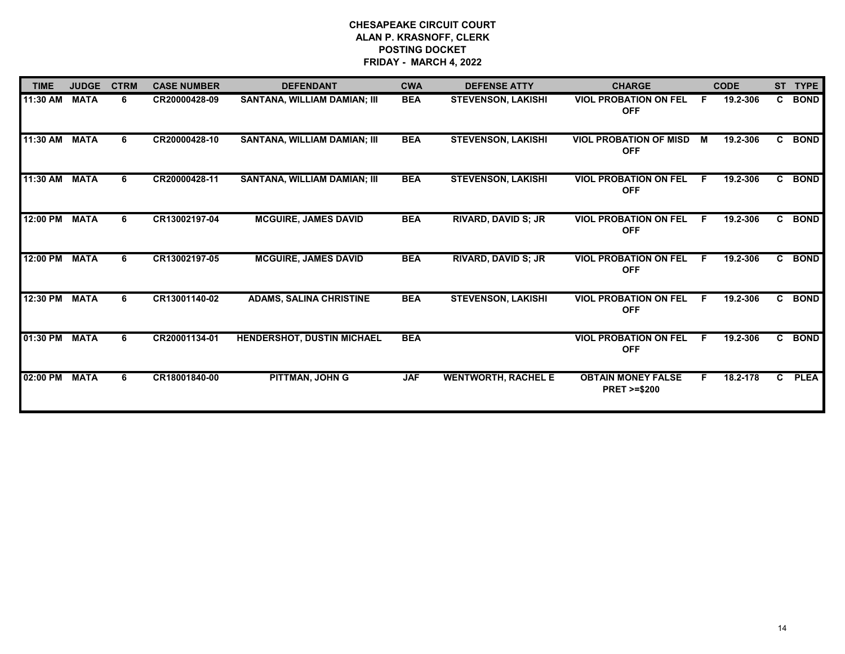| <b>TIME</b> | <b>JUDGE</b> | <b>CTRM</b> | <b>CASE NUMBER</b> | <b>DEFENDANT</b>                    | <b>CWA</b> | <b>DEFENSE ATTY</b>        | <b>CHARGE</b>                                       |    | <b>CODE</b> | <b>ST</b>      | <b>TYPE</b> |
|-------------|--------------|-------------|--------------------|-------------------------------------|------------|----------------------------|-----------------------------------------------------|----|-------------|----------------|-------------|
| 11:30 AM    | <b>MATA</b>  | 6.          | CR20000428-09      | <b>SANTANA, WILLIAM DAMIAN; III</b> | <b>BEA</b> | <b>STEVENSON, LAKISHI</b>  | <b>VIOL PROBATION ON FEL</b><br><b>OFF</b>          | E  | 19.2-306    | C.             | <b>BOND</b> |
| 11:30 AM    | <b>MATA</b>  | 6.          | CR20000428-10      | SANTANA, WILLIAM DAMIAN; III        | <b>BEA</b> | <b>STEVENSON, LAKISHI</b>  | <b>VIOL PROBATION OF MISD</b><br><b>OFF</b>         | M  | 19.2-306    | $\mathbf{c}$   | <b>BOND</b> |
| 11:30 AM    | <b>MATA</b>  | 6           | CR20000428-11      | <b>SANTANA, WILLIAM DAMIAN; III</b> | <b>BEA</b> | <b>STEVENSON, LAKISHI</b>  | <b>VIOL PROBATION ON FEL</b><br><b>OFF</b>          | F. | 19.2-306    | $\mathbf{c}$   | <b>BOND</b> |
| 12:00 PM    | <b>MATA</b>  | 6.          | CR13002197-04      | <b>MCGUIRE, JAMES DAVID</b>         | <b>BEA</b> | <b>RIVARD, DAVID S; JR</b> | <b>VIOL PROBATION ON FEL</b><br><b>OFF</b>          | F. | 19.2-306    | C.             | <b>BOND</b> |
| 12:00 PM    | <b>MATA</b>  | 6           | CR13002197-05      | <b>MCGUIRE, JAMES DAVID</b>         | <b>BEA</b> | <b>RIVARD, DAVID S; JR</b> | <b>VIOL PROBATION ON FEL</b><br><b>OFF</b>          | F. | 19.2-306    | C.             | <b>BOND</b> |
| 12:30 PM    | <b>MATA</b>  | 6.          | CR13001140-02      | <b>ADAMS, SALINA CHRISTINE</b>      | <b>BEA</b> | <b>STEVENSON, LAKISHI</b>  | <b>VIOL PROBATION ON FEL</b><br><b>OFF</b>          | E  | 19.2-306    | $\mathbf{c}$   | <b>BOND</b> |
| 01:30 PM    | <b>MATA</b>  |             | CR20001134-01      | <b>HENDERSHOT, DUSTIN MICHAEL</b>   | <b>BEA</b> |                            | <b>VIOL PROBATION ON FEL</b><br><b>OFF</b>          | F. | 19.2-306    | $\overline{c}$ | <b>BOND</b> |
| 02:00 PM    | <b>MATA</b>  | 6           | CR18001840-00      | PITTMAN, JOHN G                     | <b>JAF</b> | <b>WENTWORTH, RACHEL E</b> | <b>OBTAIN MONEY FALSE</b><br><b>PRET &gt;=\$200</b> | F. | 18.2-178    | C              | <b>PLEA</b> |